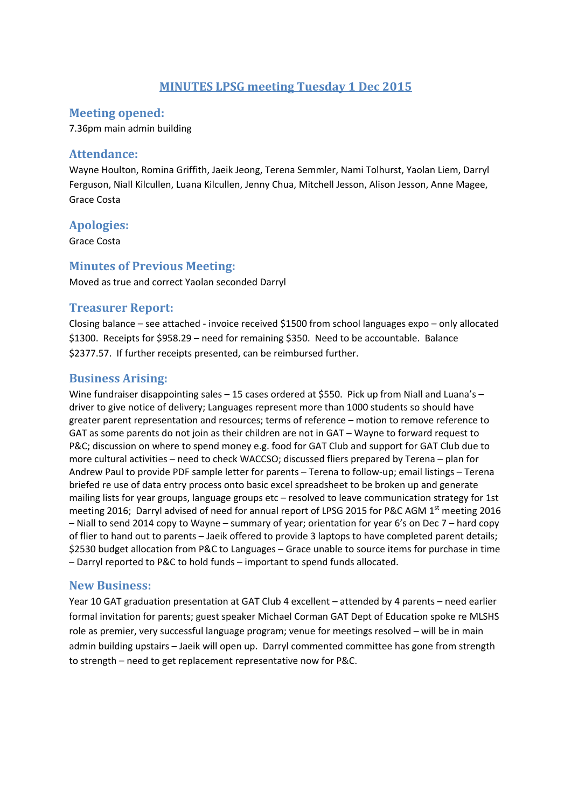# **MINUTES LPSG meeting Tuesday 1 Dec 2015**

#### **Meeting opened:**

7.36pm main admin building

#### Attendance:

Wayne Houlton, Romina Griffith, Jaeik Jeong, Terena Semmler, Nami Tolhurst, Yaolan Liem, Darryl Ferguson, Niall Kilcullen, Luana Kilcullen, Jenny Chua, Mitchell Jesson, Alison Jesson, Anne Magee, Grace Costa

## **Apologies:**

Grace Costa

## **Minutes of Previous Meeting:**

Moved as true and correct Yaolan seconded Darryl

# **Treasurer Report:**

Closing balance – see attached ‐ invoice received \$1500 from school languages expo – only allocated \$1300. Receipts for \$958.29 – need for remaining \$350. Need to be accountable. Balance \$2377.57. If further receipts presented, can be reimbursed further.

# **Business Arising:**

Wine fundraiser disappointing sales – 15 cases ordered at \$550. Pick up from Niall and Luana's – driver to give notice of delivery; Languages represent more than 1000 students so should have greater parent representation and resources; terms of reference – motion to remove reference to GAT as some parents do not join as their children are not in GAT – Wayne to forward request to P&C; discussion on where to spend money e.g. food for GAT Club and support for GAT Club due to more cultural activities – need to check WACCSO; discussed fliers prepared by Terena – plan for Andrew Paul to provide PDF sample letter for parents – Terena to follow‐up; email listings – Terena briefed re use of data entry process onto basic excel spreadsheet to be broken up and generate mailing lists for year groups, language groups etc – resolved to leave communication strategy for 1st meeting 2016; Darryl advised of need for annual report of LPSG 2015 for P&C AGM 1<sup>st</sup> meeting 2016 – Niall to send 2014 copy to Wayne – summary of year; orientation for year 6's on Dec 7 – hard copy of flier to hand out to parents – Jaeik offered to provide 3 laptops to have completed parent details; \$2530 budget allocation from P&C to Languages – Grace unable to source items for purchase in time – Darryl reported to P&C to hold funds – important to spend funds allocated.

#### **New Business:**

Year 10 GAT graduation presentation at GAT Club 4 excellent – attended by 4 parents – need earlier formal invitation for parents; guest speaker Michael Corman GAT Dept of Education spoke re MLSHS role as premier, very successful language program; venue for meetings resolved – will be in main admin building upstairs – Jaeik will open up. Darryl commented committee has gone from strength to strength – need to get replacement representative now for P&C.